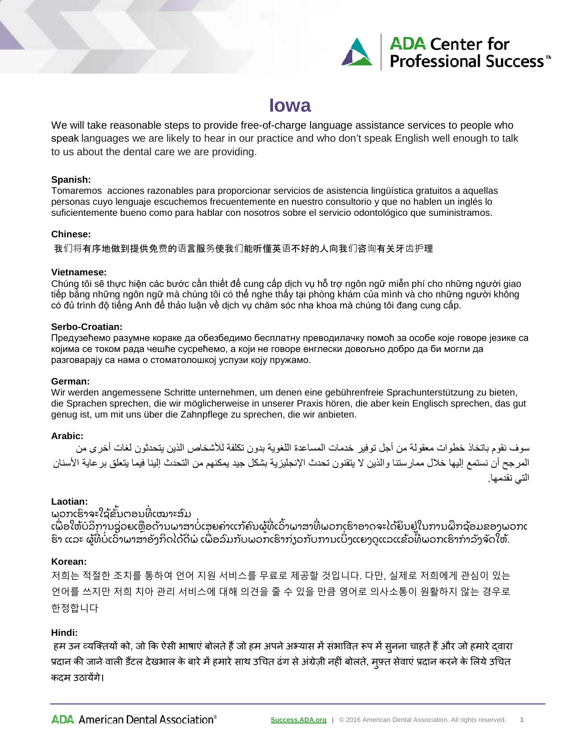

# **Iowa**

We will take reasonable steps to provide free-of-charge language assistance services to people who speak languages we are likely to hear in our practice and who don't speak English well enough to talk to us about the dental care we are providing.

#### **Spanish:**

Tomaremos acciones razonables para proporcionar servicios de asistencia lingüística gratuitos a aquellas personas cuyo lenguaje escuchemos frecuentemente en nuestro consultorio y que no hablen un inglés lo suficientemente bueno como para hablar con nosotros sobre el servicio odontológico que suministramos.

# **Chinese:**

我们将有序地做到提供免费的语言服务使我们能听懂英语不好的人向我们咨询有关牙齿护理

#### **Vietnamese:**

Chúng tôi sẽ thực hiện các bước cần thiết để cung cấp dịch vụ hỗ trợ ngôn ngữ miễn phí cho những người giao tiếp bằng những ngôn ngữ mà chúng tôi có thể nghe thấy tại phòng khám của mình và cho những người không có đủ trình độ tiếng Anh để thảo luận về dịch vụ chăm sóc nha khoa mà chúng tôi đang cung cấp.

# **Serbo-Croatian:**

Предузећемо разумне кораке да обезбедимо бесплатну преводилачку помоћ за особе које говоре језике са којима се током рада чешће сусрећемо, а који не говоре енглески довољно добро да би могли да разговарају са нама о стоматолошкој услузи коју пружамо.

# **German:**

Wir werden angemessene Schritte unternehmen, um denen eine gebührenfreie Sprachunterstützung zu bieten, die Sprachen sprechen, die wir möglicherweise in unserer Praxis hören, die aber kein Englisch sprechen, das gut genug ist, um mit uns über die Zahnpflege zu sprechen, die wir anbieten.

# **Arabic:**

سوف نقوم باتخاذ خطوات معقولة من أجل توفیر خدمات المساعدة اللغویة بدون تكلفة للأشخاص الذین یتحدثون لغات أخرى من المرجح أن نستمع إلیھا خلال ممارستنا والذین لا یتقنون تحدث الإنجلیزیة بشكل جید یمكنھم من التحدث إلینا فیما یتعلق برعایة الأسنان التي نقدمھا.

# **Laotian:**

ພວກເຮົາຈະໃຊ້ຂັ້ນຕອນທີເໝາະສົມ

ເພື່ອໃຫ້ບໍລິການຊ່ວຍເຫຼືອດ້ານພາສາບໍ່ເສຍຄ່າແກ້ຄົນຜູ້ທີ່ເວົ້າພາສາທີ່ພວກເຮົາອາດຈະໄດ້ຍິນຢູ່ໃນການຝຶກຊ້ອມຂອງພວກເ ່ ົ ຮິ່າ ແລະ ຜູ້ທີ່ບໍ່ເວົ້າພາສາອັງກິດໄດ້ດີພໍ ເພື່ອລົມກັບພວກເຮົາກ່ຽວກັບການເບິ່ງແຍງດູແລແຂ້ວທີ່ພວກເຮົາກຳລັງຈັດໃຫ້. ່

# **Korean:**

저희는 적절한 조치를 통하여 언어 지원 서비스를 무료로 제공할 것입니다. 다만, 실제로 저희에게 관심이 있는 언어를 쓰지만 저희 치아 관리 서비스에 대해 의견을 줄 수 있을 만큼 영어로 의사소통이 원활하지 않는 경우로 한정합니다

# **Hindi:**

हम उन व्यक्तियों को, जो कि ऐसी भाषाएं बोलते हैं जो हम अपने अभ्यास में सभावित रूप में सुनना चाहते हैं और जो हमारे द्वारा प्रदान की जाने वाली डैटल देखभाल के बारे मे हमारे साथ उचित ढंग से अंग्रेज़ी नही बोलते, मुफ़्त सेवाए प्रदान करने के लिये उचित कदम उठायेंगे।